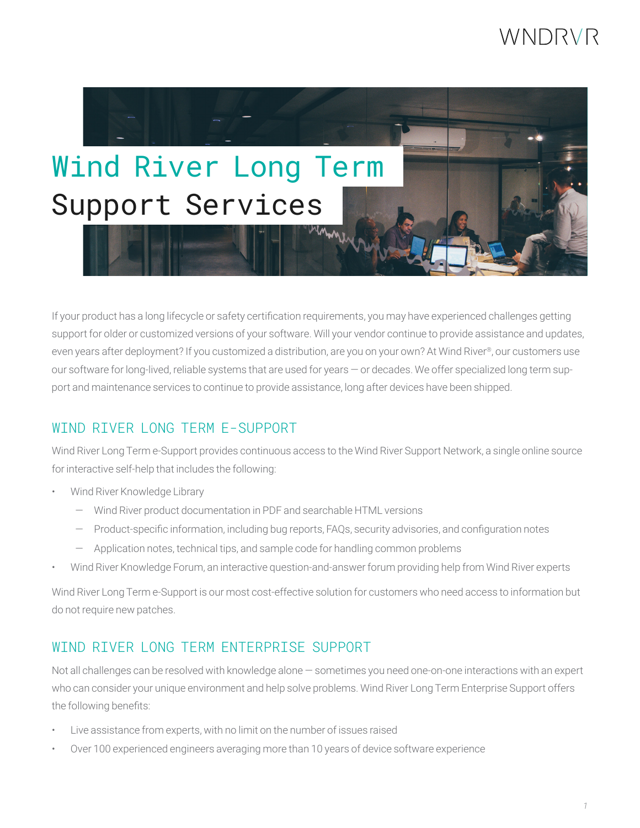# WNDRVR



If your product has a long lifecycle or safety certification requirements, you may have experienced challenges getting support for older or customized versions of your software. Will your vendor continue to provide assistance and updates, even years after deployment? If you customized a distribution, are you on your own? At Wind River®, our customers use our software for long-lived, reliable systems that are used for years — or decades. We offer specialized long term support and maintenance services to continue to provide assistance, long after devices have been shipped.

## WIND RIVER LONG TERM E-SUPPORT

Wind River Long Term e-Support provides continuous access to the Wind River Support Network, a single online source for interactive self-help that includes the following:

- Wind River Knowledge Library
	- Wind River product documentation in PDF and searchable HTML versions
	- Product-specific information, including bug reports, FAQs, security advisories, and configuration notes
	- Application notes, technical tips, and sample code for handling common problems
- Wind River Knowledge Forum, an interactive question-and-answer forum providing help from Wind River experts

Wind River Long Term e-Support is our most cost-effective solution for customers who need access to information but do not require new patches.

## WIND RIVER LONG TERM ENTERPRISE SUPPORT

Not all challenges can be resolved with knowledge alone — sometimes you need one-on-one interactions with an expert who can consider your unique environment and help solve problems. Wind River Long Term Enterprise Support offers the following benefits:

- Live assistance from experts, with no limit on the number of issues raised
- Over 100 experienced engineers averaging more than 10 years of device software experience